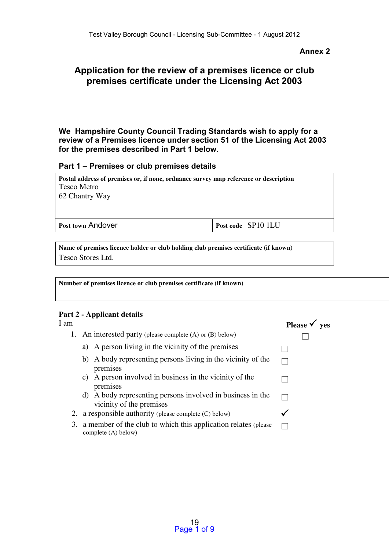## **Annex 2**

# **Application for the review of a premises licence or club premises certificate under the Licensing Act 2003**

**We Hampshire County Council Trading Standards wish to apply for a review of a Premises licence under section 51 of the Licensing Act 2003 for the premises described in Part 1 below.** 

## **Part 1 – Premises or club premises details**

| Postal address of premises or, if none, ordnance survey map reference or description<br>Tesco Metro<br>62 Chantry Way |                    |
|-----------------------------------------------------------------------------------------------------------------------|--------------------|
| <b>Post town Andover</b>                                                                                              | Post code SP10 1LU |

Name of premises licence holder or club holding club premises certificate (if known) Tesco Stores Ltd.

Number of premises licence or club premises certificate (if known)

## Part 2 - Applicant details

| I am |                                                                                        | Please $\checkmark$ yes |
|------|----------------------------------------------------------------------------------------|-------------------------|
|      | 1. An interested party (please complete (A) or (B) below)                              |                         |
|      | A person living in the vicinity of the premises<br>a)                                  |                         |
|      | b) A body representing persons living in the vicinity of the<br>premises               |                         |
|      | A person involved in business in the vicinity of the<br>C)<br>premises                 |                         |
|      | d) A body representing persons involved in business in the<br>vicinity of the premises |                         |
|      | a responsible authority (please complete (C) below)                                    |                         |
| 3.   | a member of the club to which this application relates (please)<br>complete (A) below) |                         |
|      |                                                                                        |                         |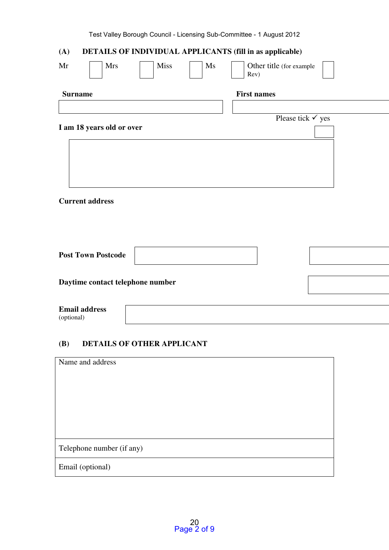| (A)<br>DETAILS OF INDIVIDUAL APPLICANTS (fill in as applicable) |                                  |  |  |  |  |
|-----------------------------------------------------------------|----------------------------------|--|--|--|--|
| <b>Miss</b><br>Mr<br><b>Mrs</b><br>$\mathbf{M}\mathbf{s}$       | Other title (for example<br>Rev) |  |  |  |  |
| <b>Surname</b>                                                  | <b>First names</b>               |  |  |  |  |
|                                                                 |                                  |  |  |  |  |
|                                                                 | Please tick $\checkmark$ yes     |  |  |  |  |
| I am 18 years old or over                                       |                                  |  |  |  |  |
|                                                                 |                                  |  |  |  |  |
|                                                                 |                                  |  |  |  |  |
|                                                                 |                                  |  |  |  |  |
|                                                                 |                                  |  |  |  |  |
|                                                                 |                                  |  |  |  |  |
| <b>Current address</b>                                          |                                  |  |  |  |  |
|                                                                 |                                  |  |  |  |  |
|                                                                 |                                  |  |  |  |  |
|                                                                 |                                  |  |  |  |  |
|                                                                 |                                  |  |  |  |  |
| <b>Post Town Postcode</b>                                       |                                  |  |  |  |  |
|                                                                 |                                  |  |  |  |  |
| Daytime contact telephone number                                |                                  |  |  |  |  |
|                                                                 |                                  |  |  |  |  |
| <b>Email address</b>                                            |                                  |  |  |  |  |
| (optional)                                                      |                                  |  |  |  |  |
|                                                                 |                                  |  |  |  |  |

# (B) DETAILS OF OTHER APPLICANT

| Name and address          |  |
|---------------------------|--|
|                           |  |
|                           |  |
|                           |  |
|                           |  |
| Telephone number (if any) |  |
| Email (optional)          |  |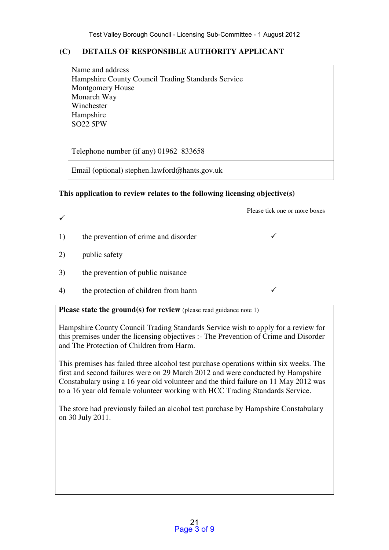# (C) DETAILS OF RESPONSIBLE AUTHORITY APPLICANT

Name and address Hampshire County Council Trading Standards Service Montgomery House Monarch Way Winchester Hampshire SO22 5PW

Telephone number (if any) 01962 833658

Email (optional) stephen.lawford@hants.gov.uk

# This application to review relates to the following licensing objective(s)

Please tick one or more boxes

- 1) the prevention of crime and disorder  $\checkmark$
- 2) public safety

 $\checkmark$ 

- 3) the prevention of public nuisance
- 4) the protection of children from harm

## **Please state the ground(s) for review** (please read guidance note 1)

Hampshire County Council Trading Standards Service wish to apply for a review for this premises under the licensing objectives :- The Prevention of Crime and Disorder and The Protection of Children from Harm.

This premises has failed three alcohol test purchase operations within six weeks. The first and second failures were on 29 March 2012 and were conducted by Hampshire Constabulary using a 16 year old volunteer and the third failure on 11 May 2012 was to a 16 year old female volunteer working with HCC Trading Standards Service.

The store had previously failed an alcohol test purchase by Hampshire Constabulary on 30 July 2011.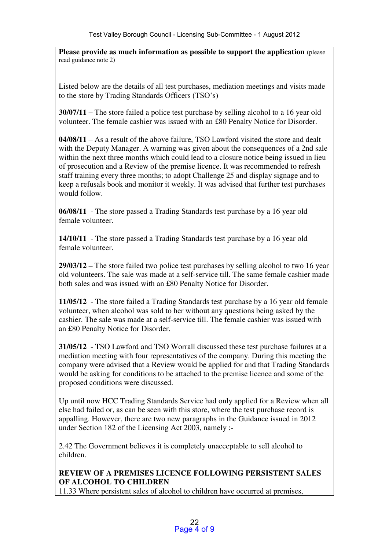Please provide as much information as possible to support the application (please read guidance note 2)

Listed below are the details of all test purchases, mediation meetings and visits made to the store by Trading Standards Officers (TSO's)

30/07/11 **–** The store failed a police test purchase by selling alcohol to a 16 year old volunteer. The female cashier was issued with an £80 Penalty Notice for Disorder.

04/08/11 – As a result of the above failure, TSO Lawford visited the store and dealt with the Deputy Manager. A warning was given about the consequences of a 2nd sale within the next three months which could lead to a closure notice being issued in lieu of prosecution and a Review of the premise licence. It was recommended to refresh staff training every three months; to adopt Challenge 25 and display signage and to keep a refusals book and monitor it weekly. It was advised that further test purchases would follow.

06/08/11 - The store passed a Trading Standards test purchase by a 16 year old female volunteer.

14/10/11 - The store passed a Trading Standards test purchase by a 16 year old female volunteer.

29/03/12 **–** The store failed two police test purchases by selling alcohol to two 16 year old volunteers. The sale was made at a self-service till. The same female cashier made both sales and was issued with an £80 Penalty Notice for Disorder.

11/05/12 - The store failed a Trading Standards test purchase by a 16 year old female volunteer, when alcohol was sold to her without any questions being asked by the cashier. The sale was made at a self-service till. The female cashier was issued with an £80 Penalty Notice for Disorder.

31/05/12 - TSO Lawford and TSO Worrall discussed these test purchase failures at a mediation meeting with four representatives of the company. During this meeting the company were advised that a Review would be applied for and that Trading Standards would be asking for conditions to be attached to the premise licence and some of the proposed conditions were discussed.

Up until now HCC Trading Standards Service had only applied for a Review when all else had failed or, as can be seen with this store, where the test purchase record is appalling. However, there are two new paragraphs in the Guidance issued in 2012 under Section 182 of the Licensing Act 2003, namely :-

2.42 The Government believes it is completely unacceptable to sell alcohol to children.

# REVIEW OF A PREMISES LICENCE FOLLOWING PERSISTENT SALES OF ALCOHOL TO CHILDREN

11.33 Where persistent sales of alcohol to children have occurred at premises,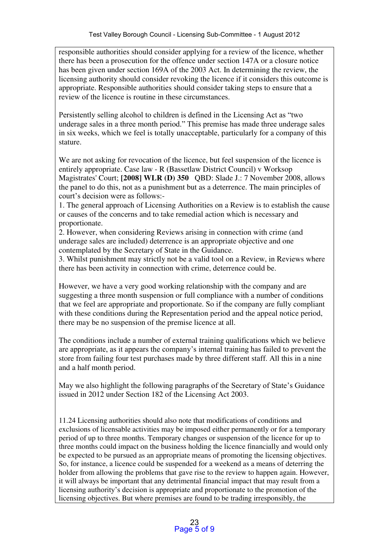responsible authorities should consider applying for a review of the licence, whether there has been a prosecution for the offence under section 147A or a closure notice has been given under section 169A of the 2003 Act. In determining the review, the licensing authority should consider revoking the licence if it considers this outcome is appropriate. Responsible authorities should consider taking steps to ensure that a review of the licence is routine in these circumstances.

Persistently selling alcohol to children is defined in the Licensing Act as "two underage sales in a three month period." This premise has made three underage sales in six weeks, which we feel is totally unacceptable, particularly for a company of this stature.

We are not asking for revocation of the licence, but feel suspension of the licence is entirely appropriate. Case law - R (Bassetlaw District Council) v Worksop Magistrates' Court; [2008] WLR (D) 350 QBD: Slade J.: 7 November 2008, allows the panel to do this, not as a punishment but as a deterrence. The main principles of court's decision were as follows:-

1. The general approach of Licensing Authorities on a Review is to establish the cause or causes of the concerns and to take remedial action which is necessary and proportionate.

2. However, when considering Reviews arising in connection with crime (and underage sales are included) deterrence is an appropriate objective and one contemplated by the Secretary of State in the Guidance.

3. Whilst punishment may strictly not be a valid tool on a Review, in Reviews where there has been activity in connection with crime, deterrence could be.

However, we have a very good working relationship with the company and are suggesting a three month suspension or full compliance with a number of conditions that we feel are appropriate and proportionate. So if the company are fully compliant with these conditions during the Representation period and the appeal notice period, there may be no suspension of the premise licence at all.

The conditions include a number of external training qualifications which we believe are appropriate, as it appears the company's internal training has failed to prevent the store from failing four test purchases made by three different staff. All this in a nine and a half month period.

May we also highlight the following paragraphs of the Secretary of State's Guidance issued in 2012 under Section 182 of the Licensing Act 2003.

11.24 Licensing authorities should also note that modifications of conditions and exclusions of licensable activities may be imposed either permanently or for a temporary period of up to three months. Temporary changes or suspension of the licence for up to three months could impact on the business holding the licence financially and would only be expected to be pursued as an appropriate means of promoting the licensing objectives. So, for instance, a licence could be suspended for a weekend as a means of deterring the holder from allowing the problems that gave rise to the review to happen again. However, it will always be important that any detrimental financial impact that may result from a licensing authority's decision is appropriate and proportionate to the promotion of the licensing objectives. But where premises are found to be trading irresponsibly, the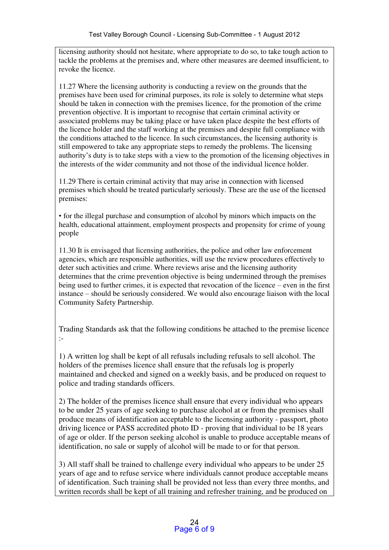licensing authority should not hesitate, where appropriate to do so, to take tough action to tackle the problems at the premises and, where other measures are deemed insufficient, to revoke the licence.

11.27 Where the licensing authority is conducting a review on the grounds that the premises have been used for criminal purposes, its role is solely to determine what steps should be taken in connection with the premises licence, for the promotion of the crime prevention objective. It is important to recognise that certain criminal activity or associated problems may be taking place or have taken place despite the best efforts of the licence holder and the staff working at the premises and despite full compliance with the conditions attached to the licence. In such circumstances, the licensing authority is still empowered to take any appropriate steps to remedy the problems. The licensing authority's duty is to take steps with a view to the promotion of the licensing objectives in the interests of the wider community and not those of the individual licence holder.

11.29 There is certain criminal activity that may arise in connection with licensed premises which should be treated particularly seriously. These are the use of the licensed premises:

• for the illegal purchase and consumption of alcohol by minors which impacts on the health, educational attainment, employment prospects and propensity for crime of young people

11.30 It is envisaged that licensing authorities, the police and other law enforcement agencies, which are responsible authorities, will use the review procedures effectively to deter such activities and crime. Where reviews arise and the licensing authority determines that the crime prevention objective is being undermined through the premises being used to further crimes, it is expected that revocation of the licence – even in the first instance – should be seriously considered. We would also encourage liaison with the local Community Safety Partnership.

Trading Standards ask that the following conditions be attached to the premise licence :-

1) A written log shall be kept of all refusals including refusals to sell alcohol. The holders of the premises licence shall ensure that the refusals log is properly maintained and checked and signed on a weekly basis, and be produced on request to police and trading standards officers.

2) The holder of the premises licence shall ensure that every individual who appears to be under 25 years of age seeking to purchase alcohol at or from the premises shall produce means of identification acceptable to the licensing authority - passport, photo driving licence or PASS accredited photo ID - proving that individual to be 18 years of age or older. If the person seeking alcohol is unable to produce acceptable means of identification, no sale or supply of alcohol will be made to or for that person.

3) All staff shall be trained to challenge every individual who appears to be under 25 years of age and to refuse service where individuals cannot produce acceptable means of identification. Such training shall be provided not less than every three months, and written records shall be kept of all training and refresher training, and be produced on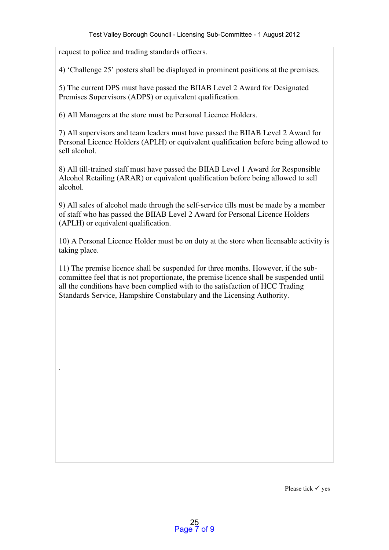request to police and trading standards officers.

.

4) 'Challenge 25' posters shall be displayed in prominent positions at the premises.

5) The current DPS must have passed the BIIAB Level 2 Award for Designated Premises Supervisors (ADPS) or equivalent qualification.

6) All Managers at the store must be Personal Licence Holders.

7) All supervisors and team leaders must have passed the BIIAB Level 2 Award for Personal Licence Holders (APLH) or equivalent qualification before being allowed to sell alcohol.

8) All till-trained staff must have passed the BIIAB Level 1 Award for Responsible Alcohol Retailing (ARAR) or equivalent qualification before being allowed to sell alcohol.

9) All sales of alcohol made through the self-service tills must be made by a member of staff who has passed the BIIAB Level 2 Award for Personal Licence Holders (APLH) or equivalent qualification.

10) A Personal Licence Holder must be on duty at the store when licensable activity is taking place.

11) The premise licence shall be suspended for three months. However, if the subcommittee feel that is not proportionate, the premise licence shall be suspended until all the conditions have been complied with to the satisfaction of HCC Trading Standards Service, Hampshire Constabulary and the Licensing Authority.

Please tick  $\checkmark$  yes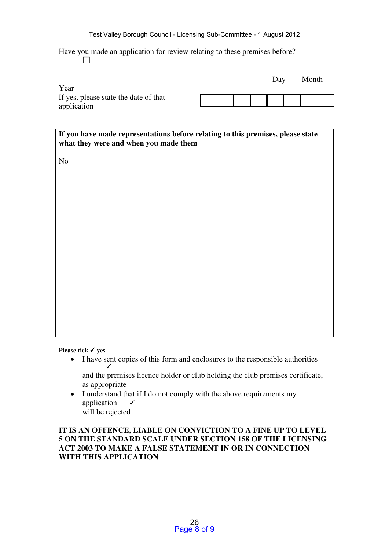Have you made an application for review relating to these premises before?

 $\Box$ 

|                                       |  |  | Day | Month |  |
|---------------------------------------|--|--|-----|-------|--|
| Year                                  |  |  |     |       |  |
| If yes, please state the date of that |  |  |     |       |  |
| application                           |  |  |     |       |  |

If you have made representations before relating to this premises, please state what they were and when you made them

No

Please tick  $\checkmark$  yes

 I have sent copies of this form and enclosures to the responsible authorities  $\checkmark$ 

 and the premises licence holder or club holding the club premises certificate, as appropriate

• I understand that if I do not comply with the above requirements my application will be rejected

IT IS AN OFFENCE, LIABLE ON CONVICTION TO A FINE UP TO LEVEL 5 ON THE STANDARD SCALE UNDER SECTION 158 OF THE LICENSING ACT 2003 TO MAKE A FALSE STATEMENT IN OR IN CONNECTION WITH THIS APPLICATION